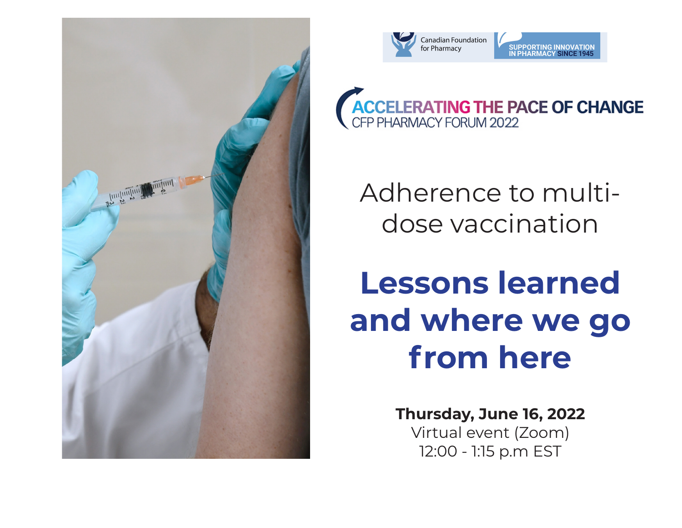



**ACCELERATING THE PACE OF CHANGE**<br>CFP PHARMACY FORUM 2022

Adherence to multidose vaccination

## **Lessons learned and where we go from here**

**Thursday, June 16, 2022** Virtual event (Zoom) 12:00 - 1:15 p.m EST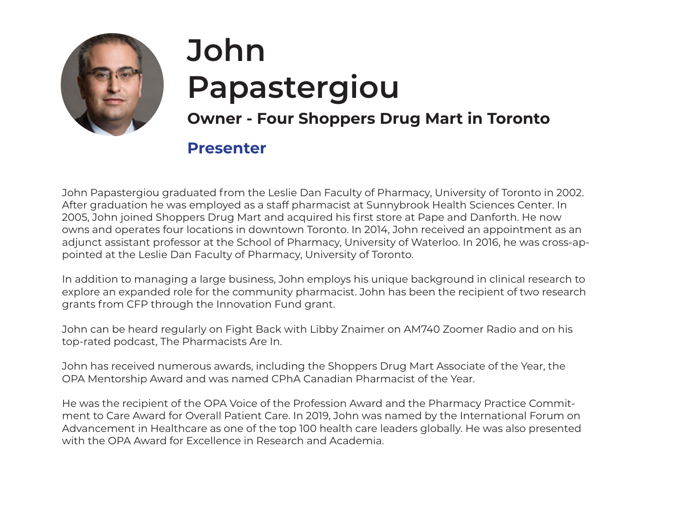

# **John Papastergiou**

#### **Owner - Four Shoppers Drug Mart in Toronto**

#### **Presenter**

John Papastergiou graduated from the Leslie Dan Faculty of Pharmacy, University of Toronto in 2002. After graduation he was employed as a staff pharmacist at Sunnybrook Health Sciences Center. In 2005, John joined Shoppers Drug Mart and acquired his first store at Pape and Danforth. He now owns and operates four locations in downtown Toronto. In 2014, John received an appointment as an adjunct assistant professor at the School of Pharmacy, University of Waterloo. In 2016, he was cross-appointed at the Leslie Dan Faculty of Pharmacy, University of Toronto.

In addition to managing a large business, John employs his unique background in clinical research to explore an expanded role for the community pharmacist. John has been the recipient of two research grants from CFP through the Innovation Fund grant.

John can be heard regularly on Fight Back with Libby Znaimer on AM740 Zoomer Radio and on his top-rated podcast, The Pharmacists Are In.

John has received numerous awards, including the Shoppers Drug Mart Associate of the Year, the OPA Mentorship Award and was named CPhA Canadian Pharmacist of the Year.

He was the recipient of the OPA Voice of the Profession Award and the Pharmacy Practice Commitment to Care Award for Overall Patient Care. In 2019, John was named by the International Forum on Advancement in Healthcare as one of the top 100 health care leaders globally. He was also presented with the OPA Award for Excellence in Research and Academia.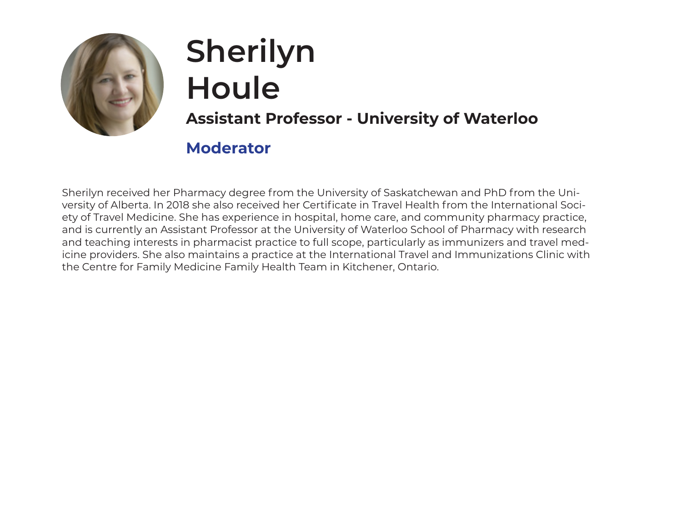

### **Sherilyn Houle Assistant Professor - University of Waterloo**

#### **Moderator**

Sherilyn received her Pharmacy degree from the University of Saskatchewan and PhD from the University of Alberta. In 2018 she also received her Certificate in Travel Health from the International Society of Travel Medicine. She has experience in hospital, home care, and community pharmacy practice, and is currently an Assistant Professor at the University of Waterloo School of Pharmacy with research and teaching interests in pharmacist practice to full scope, particularly as immunizers and travel medicine providers. She also maintains a practice at the International Travel and Immunizations Clinic with the Centre for Family Medicine Family Health Team in Kitchener, Ontario.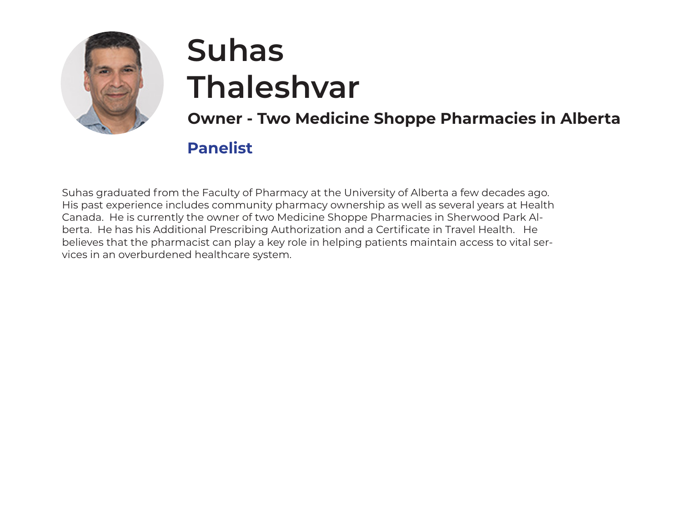

### **Suhas Thaleshvar**

**Owner - Two Medicine Shoppe Pharmacies in Alberta**

#### **Panelist**

Suhas graduated from the Faculty of Pharmacy at the University of Alberta a few decades ago. His past experience includes community pharmacy ownership as well as several years at Health Canada. He is currently the owner of two Medicine Shoppe Pharmacies in Sherwood Park Alberta. He has his Additional Prescribing Authorization and a Certificate in Travel Health. He believes that the pharmacist can play a key role in helping patients maintain access to vital services in an overburdened healthcare system.